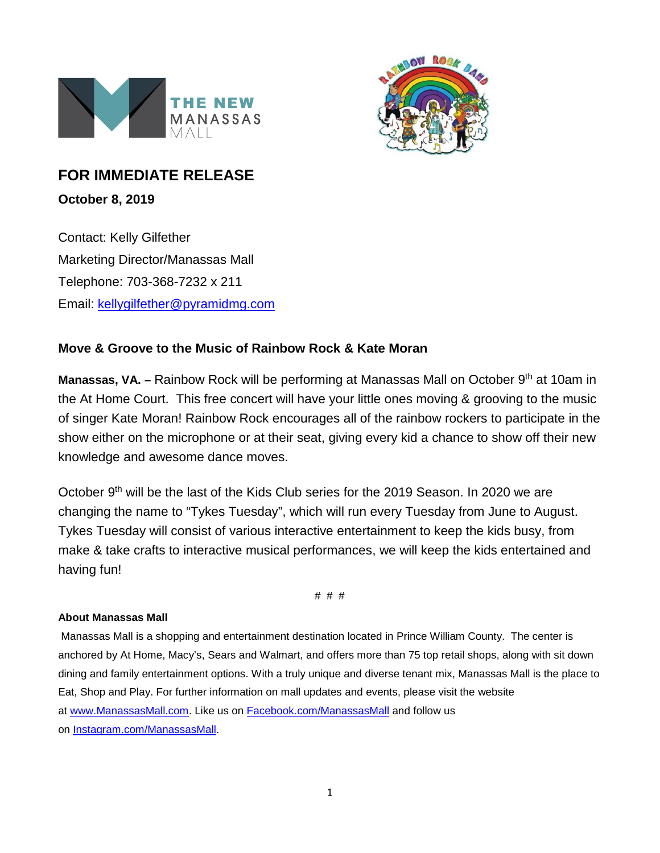



## **FOR IMMEDIATE RELEASE**

**October 8, 2019**

Contact: Kelly Gilfether Marketing Director/Manassas Mall Telephone: 703-368-7232 x 211 Email: [kellygilfether@pyramidmg.com](mailto:kellygilfether@pyramidmg.com)

## **Move & Groove to the Music of Rainbow Rock & Kate Moran**

**Manassas, VA. –** Rainbow Rock will be performing at Manassas Mall on October 9<sup>th</sup> at 10am in the At Home Court. This free concert will have your little ones moving & grooving to the music of singer Kate Moran! Rainbow Rock encourages all of the rainbow rockers to participate in the show either on the microphone or at their seat, giving every kid a chance to show off their new knowledge and awesome dance moves.

October 9<sup>th</sup> will be the last of the Kids Club series for the 2019 Season. In 2020 we are changing the name to "Tykes Tuesday", which will run every Tuesday from June to August. Tykes Tuesday will consist of various interactive entertainment to keep the kids busy, from make & take crafts to interactive musical performances, we will keep the kids entertained and having fun!

# # #

## **About Manassas Mall**

Manassas Mall is a shopping and entertainment destination located in Prince William County. The center is anchored by At Home, Macy's, Sears and Walmart, and offers more than 75 top retail shops, along with sit down dining and family entertainment options. With a truly unique and diverse tenant mix, Manassas Mall is the place to Eat, Shop and Play. For further information on mall updates and events, please visit the website at [www.ManassasMall.com.](http://www.manassasmall.com/) Like us on [Facebook.com/ManassasMall](http://www.facebook.com/manassasmall) and follow us on [Instagram.com/ManassasMall.](https://instagram.com/manassasmall/)